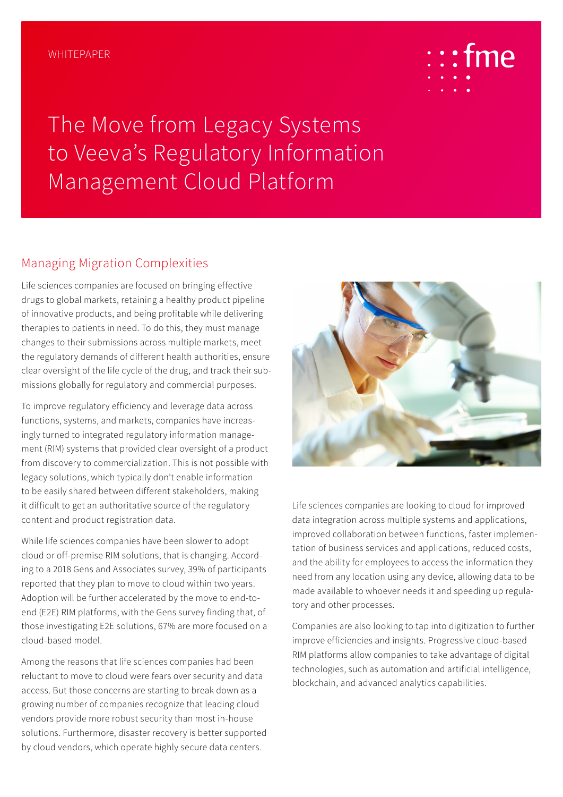

The Move from Legacy Systems to Veeva's Regulatory Information Management Cloud Platform

#### Managing Migration Complexities

Life sciences companies are focused on bringing effective drugs to global markets, retaining a healthy product pipeline of innovative products, and being profitable while delivering therapies to patients in need. To do this, they must manage changes to their submissions across multiple markets, meet the regulatory demands of different health authorities, ensure clear oversight of the life cycle of the drug, and track their submissions globally for regulatory and commercial purposes.

To improve regulatory efficiency and leverage data across functions, systems, and markets, companies have increasingly turned to integrated regulatory information management (RIM) systems that provided clear oversight of a product from discovery to commercialization. This is not possible with legacy solutions, which typically don't enable information to be easily shared between different stakeholders, making it difficult to get an authoritative source of the regulatory content and product registration data.

While life sciences companies have been slower to adopt cloud or off-premise RIM solutions, that is changing. According to a 2018 Gens and Associates survey, 39% of participants reported that they plan to move to cloud within two years. Adoption will be further accelerated by the move to end-toend (E2E) RIM platforms, with the Gens survey finding that, of those investigating E2E solutions, 67% are more focused on a cloud-based model.

Among the reasons that life sciences companies had been reluctant to move to cloud were fears over security and data access. But those concerns are starting to break down as a growing number of companies recognize that leading cloud vendors provide more robust security than most in-house solutions. Furthermore, disaster recovery is better supported by cloud vendors, which operate highly secure data centers.



Life sciences companies are looking to cloud for improved data integration across multiple systems and applications, improved collaboration between functions, faster implementation of business services and applications, reduced costs, and the ability for employees to access the information they need from any location using any device, allowing data to be made available to whoever needs it and speeding up regulatory and other processes.

Companies are also looking to tap into digitization to further improve efficiencies and insights. Progressive cloud-based RIM platforms allow companies to take advantage of digital technologies, such as automation and artificial intelligence, blockchain, and advanced analytics capabilities.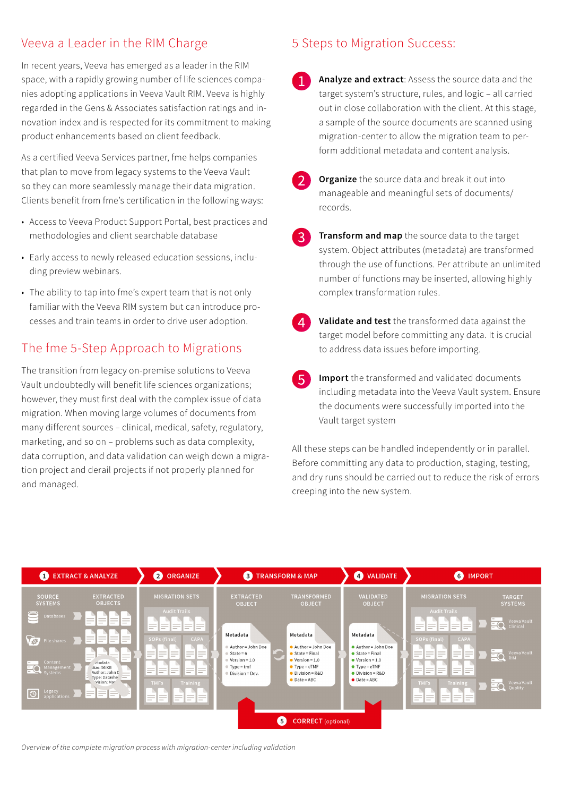## Veeva a Leader in the RIM Charge

In recent years, Veeva has emerged as a leader in the RIM space, with a rapidly growing number of life sciences companies adopting applications in Veeva Vault RIM. Veeva is highly regarded in the Gens & Associates satisfaction ratings and innovation index and is respected for its commitment to making product enhancements based on client feedback.

As a certified Veeva Services partner, fme helps companies that plan to move from legacy systems to the Veeva Vault so they can more seamlessly manage their data migration. Clients benefit from fme's certification in the following ways:

- Access to Veeva Product Support Portal, best practices and methodologies and client searchable database
- Early access to newly released education sessions, including preview webinars.
- The ability to tap into fme's expert team that is not only familiar with the Veeva RIM system but can introduce processes and train teams in order to drive user adoption.

# The fme 5-Step Approach to Migrations

The transition from legacy on-premise solutions to Veeva Vault undoubtedly will benefit life sciences organizations; however, they must first deal with the complex issue of data migration. When moving large volumes of documents from many different sources – clinical, medical, safety, regulatory, marketing, and so on – problems such as data complexity, data corruption, and data validation can weigh down a migration project and derail projects if not properly planned for and managed.

## 5 Steps to Migration Success:

- **Analyze and extract**: Assess the source data and the target system's structure, rules, and logic – all carried out in close collaboration with the client. At this stage, a sample of the source documents are scanned using migration-center to allow the migration team to perform additional metadata and content analysis.
- 

**Organize** the source data and break it out into manageable and meaningful sets of documents/ records.

- **Transform and map** the source data to the target  $\mathbf{R}$ system. Object attributes (metadata) are transformed through the use of functions. Per attribute an unlimited number of functions may be inserted, allowing highly complex transformation rules.
- **Validate and test** the transformed data against the target model before committing any data. It is crucial to address data issues before importing.
- **Import** the transformed and validated documents including metadata into the Veeva Vault system. Ensure the documents were successfully imported into the Vault target system

All these steps can be handled independently or in parallel. Before committing any data to production, staging, testing, and dry runs should be carried out to reduce the risk of errors creeping into the new system.



*Overview of the complete migration process with migration-center including validation*